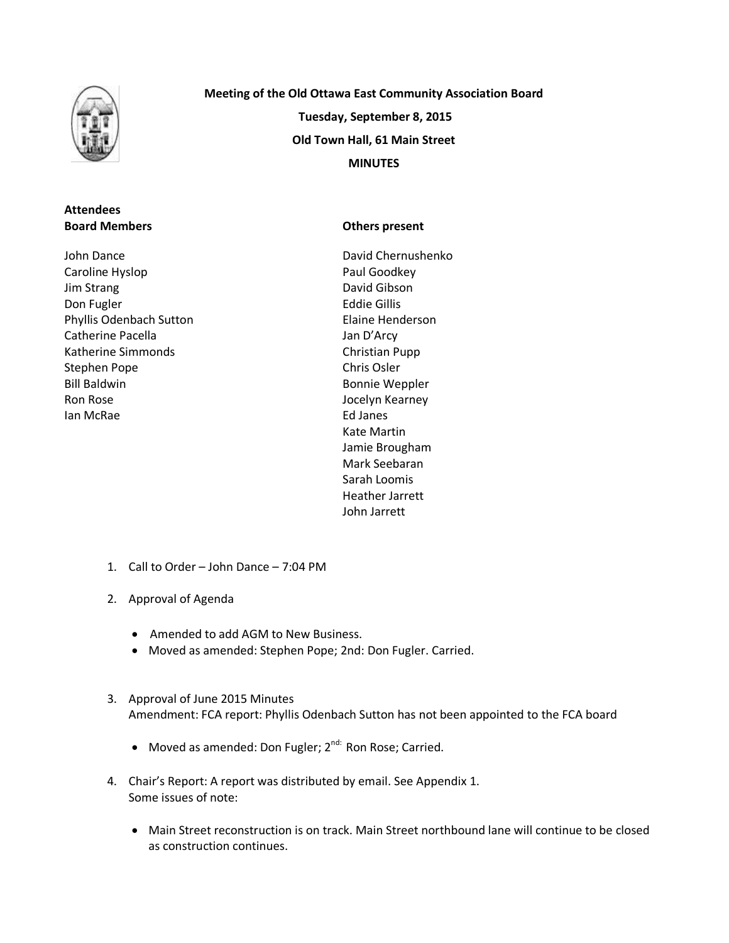

## **Attendees Board Members**

John Dance Caroline Hyslop Jim Strang Don Fugler Phyllis Odenbach Sutton Catherine Pacella Katherine Simmonds Stephen Pope Bill Baldwin Ron Rose Ian McRae

**Meeting of the Old Ottawa East Community Association Board Tuesday, September 8, 2015 Old Town Hall, 61 Main Street MINUTES**

### **Others present**

David Chernushenko Paul Goodkey David Gibson Eddie Gillis Elaine Henderson Jan D'Arcy Christian Pupp Chris Osler Bonnie Weppler Jocelyn Kearney Ed Janes Kate Martin Jamie Brougham Mark Seebaran Sarah Loomis Heather Jarrett John Jarrett

- 1. Call to Order John Dance 7:04 PM
- 2. Approval of Agenda
	- Amended to add AGM to New Business.
	- Moved as amended: Stephen Pope; 2nd: Don Fugler. Carried.
- 3. Approval of June 2015 Minutes Amendment: FCA report: Phyllis Odenbach Sutton has not been appointed to the FCA board
	- Moved as amended: Don Fugler; 2<sup>nd:</sup> Ron Rose; Carried.
- 4. Chair's Report: A report was distributed by email. See Appendix 1. Some issues of note:
	- Main Street reconstruction is on track. Main Street northbound lane will continue to be closed as construction continues.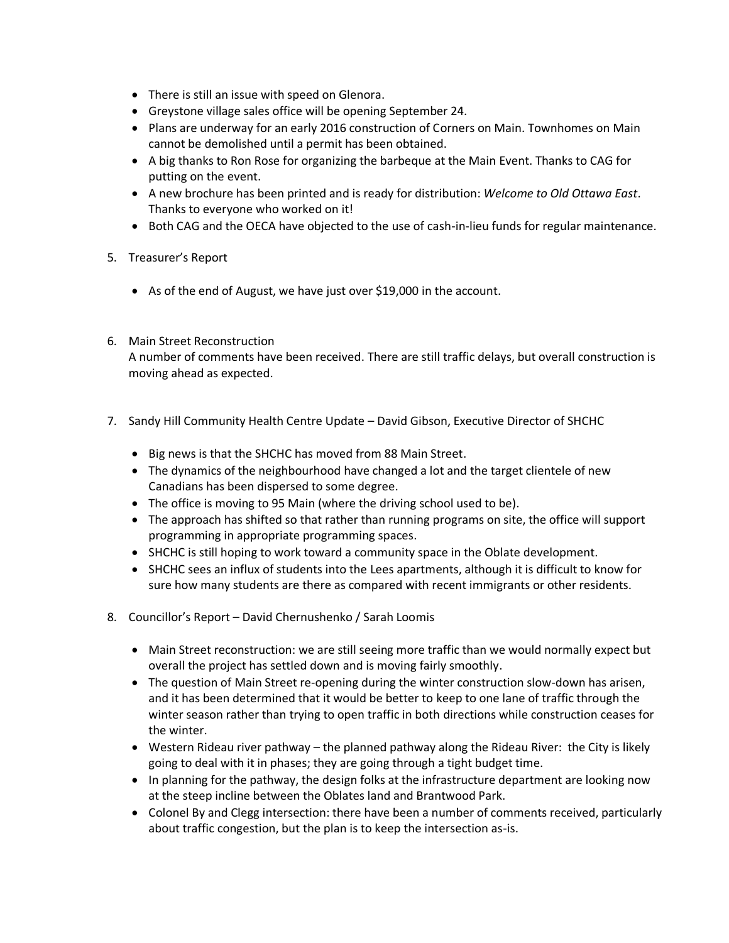- There is still an issue with speed on Glenora.
- Greystone village sales office will be opening September 24.
- Plans are underway for an early 2016 construction of Corners on Main. Townhomes on Main cannot be demolished until a permit has been obtained.
- A big thanks to Ron Rose for organizing the barbeque at the Main Event. Thanks to CAG for putting on the event.
- A new brochure has been printed and is ready for distribution: *Welcome to Old Ottawa East*. Thanks to everyone who worked on it!
- Both CAG and the OECA have objected to the use of cash-in-lieu funds for regular maintenance.
- 5. Treasurer's Report
	- As of the end of August, we have just over \$19,000 in the account.
- 6. Main Street Reconstruction

A number of comments have been received. There are still traffic delays, but overall construction is moving ahead as expected.

- 7. Sandy Hill Community Health Centre Update David Gibson, Executive Director of SHCHC
	- Big news is that the SHCHC has moved from 88 Main Street.
	- The dynamics of the neighbourhood have changed a lot and the target clientele of new Canadians has been dispersed to some degree.
	- The office is moving to 95 Main (where the driving school used to be).
	- The approach has shifted so that rather than running programs on site, the office will support programming in appropriate programming spaces.
	- SHCHC is still hoping to work toward a community space in the Oblate development.
	- SHCHC sees an influx of students into the Lees apartments, although it is difficult to know for sure how many students are there as compared with recent immigrants or other residents.
- 8. Councillor's Report David Chernushenko / Sarah Loomis
	- Main Street reconstruction: we are still seeing more traffic than we would normally expect but overall the project has settled down and is moving fairly smoothly.
	- The question of Main Street re-opening during the winter construction slow-down has arisen, and it has been determined that it would be better to keep to one lane of traffic through the winter season rather than trying to open traffic in both directions while construction ceases for the winter.
	- Western Rideau river pathway the planned pathway along the Rideau River: the City is likely going to deal with it in phases; they are going through a tight budget time.
	- In planning for the pathway, the design folks at the infrastructure department are looking now at the steep incline between the Oblates land and Brantwood Park.
	- Colonel By and Clegg intersection: there have been a number of comments received, particularly about traffic congestion, but the plan is to keep the intersection as-is.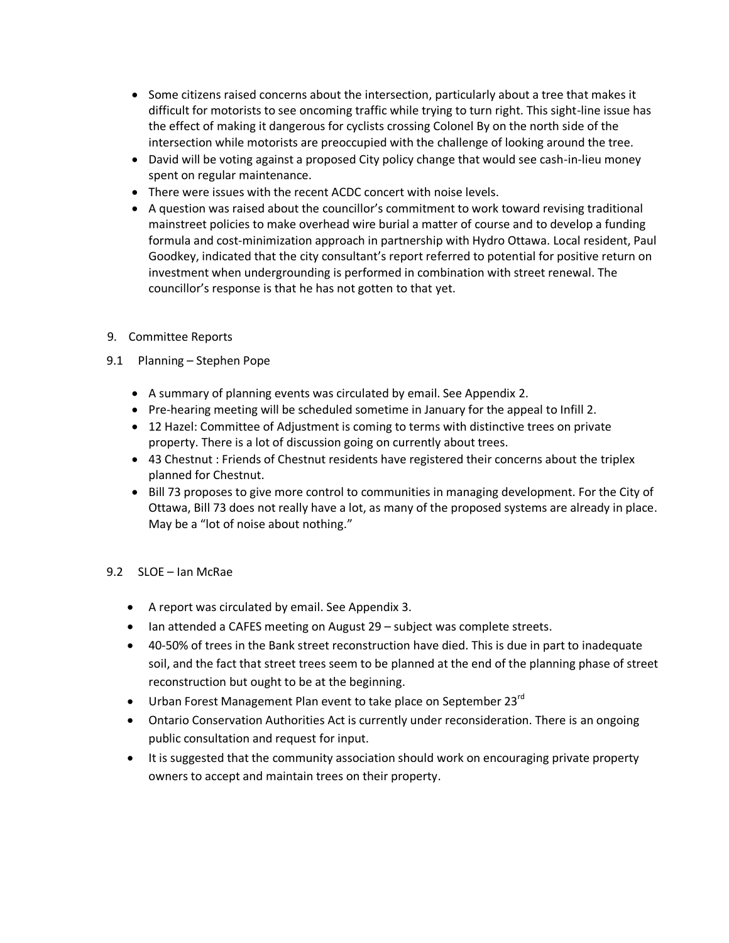- Some citizens raised concerns about the intersection, particularly about a tree that makes it difficult for motorists to see oncoming traffic while trying to turn right. This sight-line issue has the effect of making it dangerous for cyclists crossing Colonel By on the north side of the intersection while motorists are preoccupied with the challenge of looking around the tree.
- David will be voting against a proposed City policy change that would see cash-in-lieu money spent on regular maintenance.
- There were issues with the recent ACDC concert with noise levels.
- A question was raised about the councillor's commitment to work toward revising traditional mainstreet policies to make overhead wire burial a matter of course and to develop a funding formula and cost-minimization approach in partnership with Hydro Ottawa. Local resident, Paul Goodkey, indicated that the city consultant's report referred to potential for positive return on investment when undergrounding is performed in combination with street renewal. The councillor's response is that he has not gotten to that yet.
- 9. Committee Reports
- 9.1 Planning Stephen Pope
	- A summary of planning events was circulated by email. See Appendix 2.
	- Pre-hearing meeting will be scheduled sometime in January for the appeal to Infill 2.
	- 12 Hazel: Committee of Adjustment is coming to terms with distinctive trees on private property. There is a lot of discussion going on currently about trees.
	- 43 Chestnut : Friends of Chestnut residents have registered their concerns about the triplex planned for Chestnut.
	- Bill 73 proposes to give more control to communities in managing development. For the City of Ottawa, Bill 73 does not really have a lot, as many of the proposed systems are already in place. May be a "lot of noise about nothing."
- 9.2 SLOE Ian McRae
	- A report was circulated by email. See Appendix 3.
	- Ian attended a CAFES meeting on August 29 subject was complete streets.
	- 40-50% of trees in the Bank street reconstruction have died. This is due in part to inadequate soil, and the fact that street trees seem to be planned at the end of the planning phase of street reconstruction but ought to be at the beginning.
	- $\bullet$  Urban Forest Management Plan event to take place on September 23 $^{rd}$
	- Ontario Conservation Authorities Act is currently under reconsideration. There is an ongoing public consultation and request for input.
	- It is suggested that the community association should work on encouraging private property owners to accept and maintain trees on their property.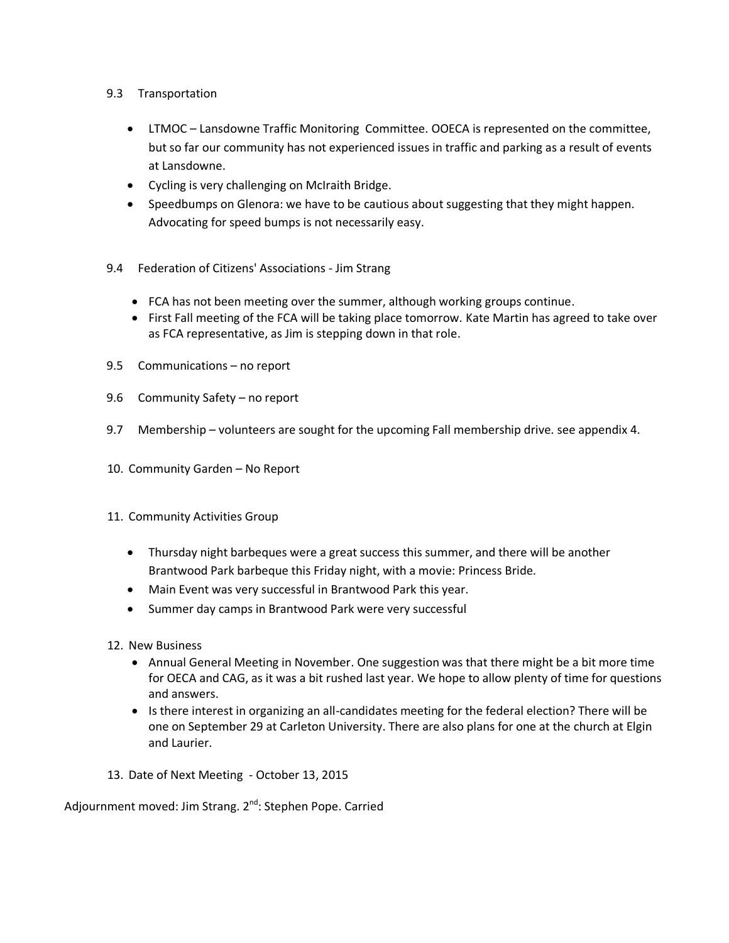- 9.3 Transportation
	- LTMOC Lansdowne Traffic Monitoring Committee. OOECA is represented on the committee, but so far our community has not experienced issues in traffic and parking as a result of events at Lansdowne.
	- Cycling is very challenging on McIraith Bridge.
	- Speedbumps on Glenora: we have to be cautious about suggesting that they might happen. Advocating for speed bumps is not necessarily easy.
- 9.4 Federation of Citizens' Associations Jim Strang
	- FCA has not been meeting over the summer, although working groups continue.
	- First Fall meeting of the FCA will be taking place tomorrow. Kate Martin has agreed to take over as FCA representative, as Jim is stepping down in that role.
- 9.5 Communications no report
- 9.6 Community Safety no report
- 9.7 Membership volunteers are sought for the upcoming Fall membership drive. see appendix 4.
- 10. Community Garden No Report
- 11. Community Activities Group
	- Thursday night barbeques were a great success this summer, and there will be another Brantwood Park barbeque this Friday night, with a movie: Princess Bride.
	- Main Event was very successful in Brantwood Park this year.
	- Summer day camps in Brantwood Park were very successful
- 12. New Business
	- Annual General Meeting in November. One suggestion was that there might be a bit more time for OECA and CAG, as it was a bit rushed last year. We hope to allow plenty of time for questions and answers.
	- Is there interest in organizing an all-candidates meeting for the federal election? There will be one on September 29 at Carleton University. There are also plans for one at the church at Elgin and Laurier.
- 13. Date of Next Meeting October 13, 2015

Adjournment moved: Jim Strang. 2<sup>nd</sup>: Stephen Pope. Carried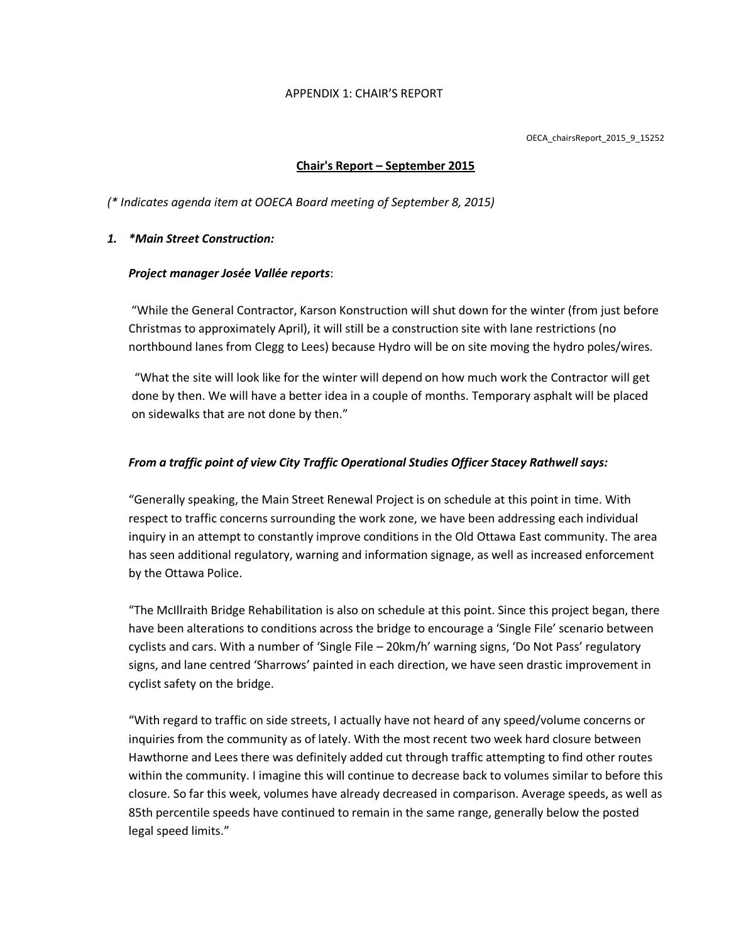#### APPENDIX 1: CHAIR'S REPORT

OECA\_chairsReport\_2015\_9\_15252

### **Chair's Report – September 2015**

*(\* Indicates agenda item at OOECA Board meeting of September 8, 2015)*

### *1. \*Main Street Construction:*

### *Project manager Josée Vallée reports*:

"While the General Contractor, Karson Konstruction will shut down for the winter (from just before Christmas to approximately April), it will still be a construction site with lane restrictions (no northbound lanes from Clegg to Lees) because Hydro will be on site moving the hydro poles/wires.

"What the site will look like for the winter will depend on how much work the Contractor will get done by then. We will have a better idea in a couple of months. Temporary asphalt will be placed on sidewalks that are not done by then."

### *From a traffic point of view City Traffic Operational Studies Officer Stacey Rathwell says:*

"Generally speaking, the Main Street Renewal Project is on schedule at this point in time. With respect to traffic concerns surrounding the work zone, we have been addressing each individual inquiry in an attempt to constantly improve conditions in the Old Ottawa East community. The area has seen additional regulatory, warning and information signage, as well as increased enforcement by the Ottawa Police.

"The McIllraith Bridge Rehabilitation is also on schedule at this point. Since this project began, there have been alterations to conditions across the bridge to encourage a 'Single File' scenario between cyclists and cars. With a number of 'Single File – 20km/h' warning signs, 'Do Not Pass' regulatory signs, and lane centred 'Sharrows' painted in each direction, we have seen drastic improvement in cyclist safety on the bridge.

"With regard to traffic on side streets, I actually have not heard of any speed/volume concerns or inquiries from the community as of lately. With the most recent two week hard closure between Hawthorne and Lees there was definitely added cut through traffic attempting to find other routes within the community. I imagine this will continue to decrease back to volumes similar to before this closure. So far this week, volumes have already decreased in comparison. Average speeds, as well as 85th percentile speeds have continued to remain in the same range, generally below the posted legal speed limits."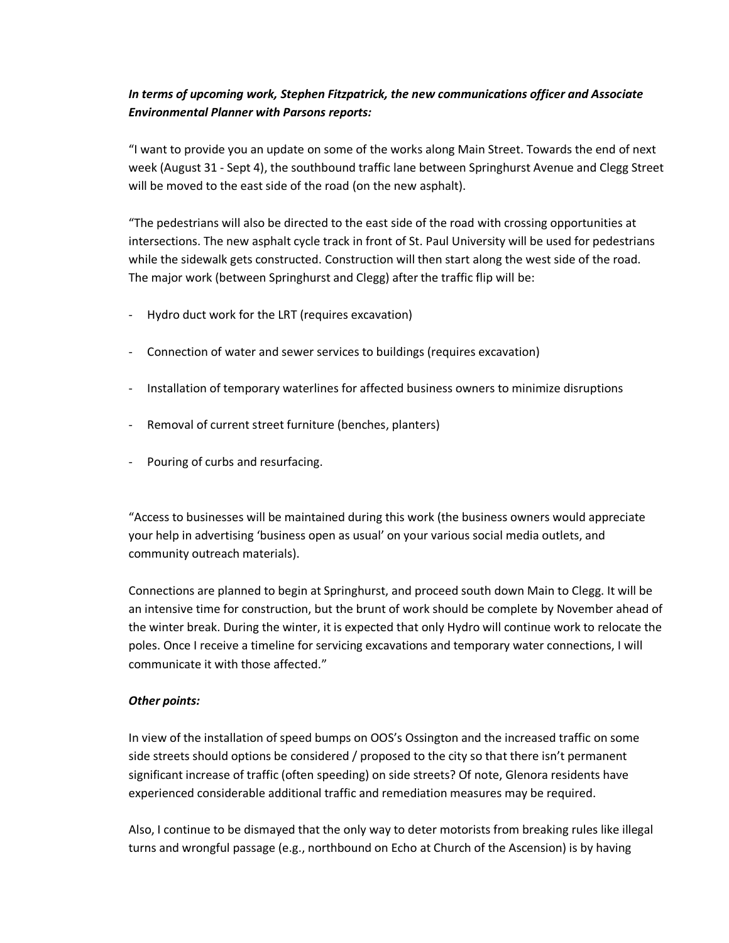## *In terms of upcoming work, Stephen Fitzpatrick, the new communications officer and Associate Environmental Planner with Parsons reports:*

"I want to provide you an update on some of the works along Main Street. Towards the end of next week (August 31 - Sept 4), the southbound traffic lane between Springhurst Avenue and Clegg Street will be moved to the east side of the road (on the new asphalt).

"The pedestrians will also be directed to the east side of the road with crossing opportunities at intersections. The new asphalt cycle track in front of St. Paul University will be used for pedestrians while the sidewalk gets constructed. Construction will then start along the west side of the road. The major work (between Springhurst and Clegg) after the traffic flip will be:

- Hydro duct work for the LRT (requires excavation)
- Connection of water and sewer services to buildings (requires excavation)
- Installation of temporary waterlines for affected business owners to minimize disruptions
- Removal of current street furniture (benches, planters)
- Pouring of curbs and resurfacing.

"Access to businesses will be maintained during this work (the business owners would appreciate your help in advertising 'business open as usual' on your various social media outlets, and community outreach materials).

Connections are planned to begin at Springhurst, and proceed south down Main to Clegg. It will be an intensive time for construction, but the brunt of work should be complete by November ahead of the winter break. During the winter, it is expected that only Hydro will continue work to relocate the poles. Once I receive a timeline for servicing excavations and temporary water connections, I will communicate it with those affected."

### *Other points:*

In view of the installation of speed bumps on OOS's Ossington and the increased traffic on some side streets should options be considered / proposed to the city so that there isn't permanent significant increase of traffic (often speeding) on side streets? Of note, Glenora residents have experienced considerable additional traffic and remediation measures may be required.

Also, I continue to be dismayed that the only way to deter motorists from breaking rules like illegal turns and wrongful passage (e.g., northbound on Echo at Church of the Ascension) is by having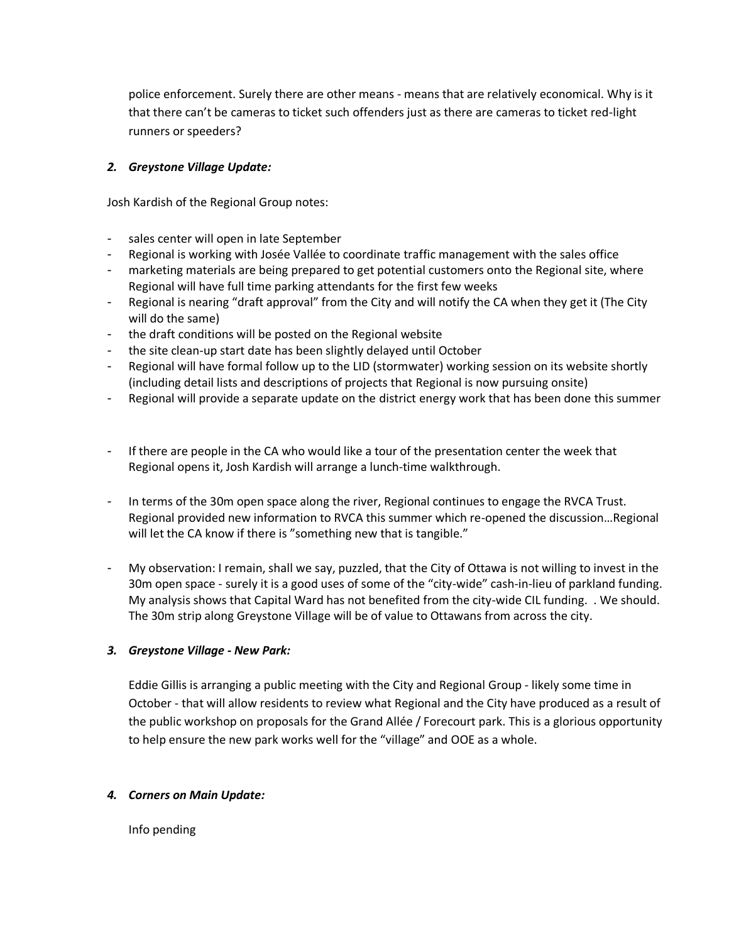police enforcement. Surely there are other means - means that are relatively economical. Why is it that there can't be cameras to ticket such offenders just as there are cameras to ticket red-light runners or speeders?

## *2. Greystone Village Update:*

Josh Kardish of the Regional Group notes:

- sales center will open in late September
- Regional is working with Josée Vallée to coordinate traffic management with the sales office
- marketing materials are being prepared to get potential customers onto the Regional site, where Regional will have full time parking attendants for the first few weeks
- Regional is nearing "draft approval" from the City and will notify the CA when they get it (The City will do the same)
- the draft conditions will be posted on the Regional website
- the site clean-up start date has been slightly delayed until October
- Regional will have formal follow up to the LID (stormwater) working session on its website shortly (including detail lists and descriptions of projects that Regional is now pursuing onsite)
- Regional will provide a separate update on the district energy work that has been done this summer
- If there are people in the CA who would like a tour of the presentation center the week that Regional opens it, Josh Kardish will arrange a lunch-time walkthrough.
- In terms of the 30m open space along the river, Regional continues to engage the RVCA Trust. Regional provided new information to RVCA this summer which re-opened the discussion…Regional will let the CA know if there is "something new that is tangible."
- My observation: I remain, shall we say, puzzled, that the City of Ottawa is not willing to invest in the 30m open space - surely it is a good uses of some of the "city-wide" cash-in-lieu of parkland funding. My analysis shows that Capital Ward has not benefited from the city-wide CIL funding. . We should. The 30m strip along Greystone Village will be of value to Ottawans from across the city.

### *3. Greystone Village - New Park:*

Eddie Gillis is arranging a public meeting with the City and Regional Group - likely some time in October - that will allow residents to review what Regional and the City have produced as a result of the public workshop on proposals for the Grand Allée / Forecourt park. This is a glorious opportunity to help ensure the new park works well for the "village" and OOE as a whole.

### *4. Corners on Main Update:*

Info pending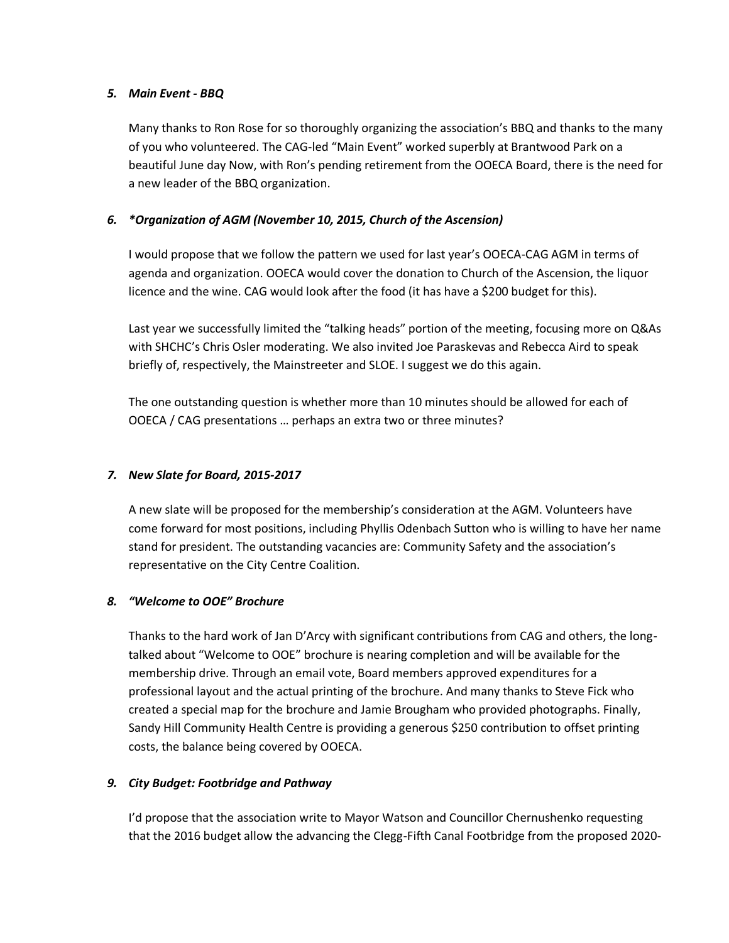### *5. Main Event - BBQ*

Many thanks to Ron Rose for so thoroughly organizing the association's BBQ and thanks to the many of you who volunteered. The CAG-led "Main Event" worked superbly at Brantwood Park on a beautiful June day Now, with Ron's pending retirement from the OOECA Board, there is the need for a new leader of the BBQ organization.

## *6. \*Organization of AGM (November 10, 2015, Church of the Ascension)*

I would propose that we follow the pattern we used for last year's OOECA-CAG AGM in terms of agenda and organization. OOECA would cover the donation to Church of the Ascension, the liquor licence and the wine. CAG would look after the food (it has have a \$200 budget for this).

Last year we successfully limited the "talking heads" portion of the meeting, focusing more on Q&As with SHCHC's Chris Osler moderating. We also invited Joe Paraskevas and Rebecca Aird to speak briefly of, respectively, the Mainstreeter and SLOE. I suggest we do this again.

The one outstanding question is whether more than 10 minutes should be allowed for each of OOECA / CAG presentations … perhaps an extra two or three minutes?

## *7. New Slate for Board, 2015-2017*

A new slate will be proposed for the membership's consideration at the AGM. Volunteers have come forward for most positions, including Phyllis Odenbach Sutton who is willing to have her name stand for president. The outstanding vacancies are: Community Safety and the association's representative on the City Centre Coalition.

## *8. "Welcome to OOE" Brochure*

Thanks to the hard work of Jan D'Arcy with significant contributions from CAG and others, the longtalked about "Welcome to OOE" brochure is nearing completion and will be available for the membership drive. Through an email vote, Board members approved expenditures for a professional layout and the actual printing of the brochure. And many thanks to Steve Fick who created a special map for the brochure and Jamie Brougham who provided photographs. Finally, Sandy Hill Community Health Centre is providing a generous \$250 contribution to offset printing costs, the balance being covered by OOECA.

## *9. City Budget: Footbridge and Pathway*

I'd propose that the association write to Mayor Watson and Councillor Chernushenko requesting that the 2016 budget allow the advancing the Clegg-Fifth Canal Footbridge from the proposed 2020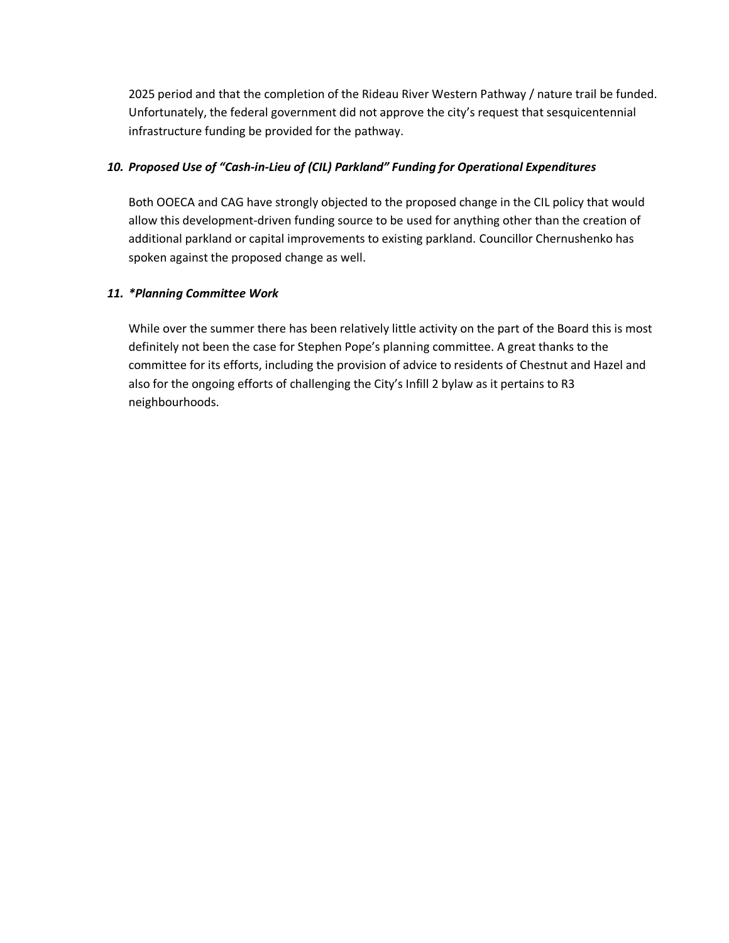2025 period and that the completion of the Rideau River Western Pathway / nature trail be funded. Unfortunately, the federal government did not approve the city's request that sesquicentennial infrastructure funding be provided for the pathway.

### *10. Proposed Use of "Cash-in-Lieu of (CIL) Parkland" Funding for Operational Expenditures*

Both OOECA and CAG have strongly objected to the proposed change in the CIL policy that would allow this development-driven funding source to be used for anything other than the creation of additional parkland or capital improvements to existing parkland. Councillor Chernushenko has spoken against the proposed change as well.

### *11. \*Planning Committee Work*

While over the summer there has been relatively little activity on the part of the Board this is most definitely not been the case for Stephen Pope's planning committee. A great thanks to the committee for its efforts, including the provision of advice to residents of Chestnut and Hazel and also for the ongoing efforts of challenging the City's Infill 2 bylaw as it pertains to R3 neighbourhoods.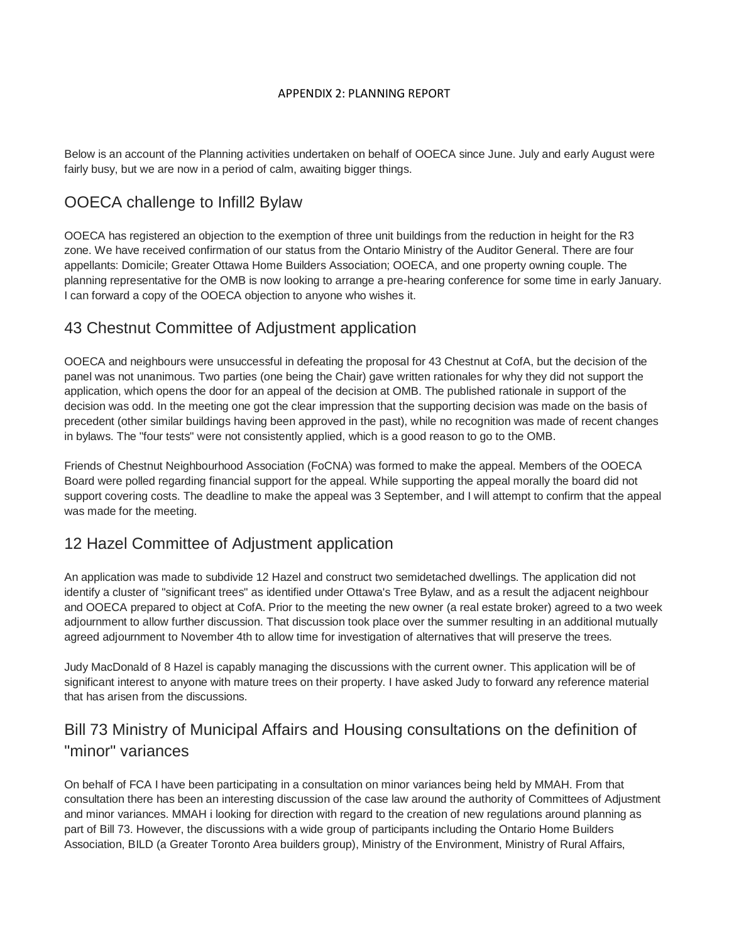#### APPENDIX 2: PLANNING REPORT

Below is an account of the Planning activities undertaken on behalf of OOECA since June. July and early August were fairly busy, but we are now in a period of calm, awaiting bigger things.

## OOECA challenge to Infill2 Bylaw

OOECA has registered an objection to the exemption of three unit buildings from the reduction in height for the R3 zone. We have received confirmation of our status from the Ontario Ministry of the Auditor General. There are four appellants: Domicile; Greater Ottawa Home Builders Association; OOECA, and one property owning couple. The planning representative for the OMB is now looking to arrange a pre-hearing conference for some time in early January. I can forward a copy of the OOECA objection to anyone who wishes it.

## 43 Chestnut Committee of Adjustment application

OOECA and neighbours were unsuccessful in defeating the proposal for 43 Chestnut at CofA, but the decision of the panel was not unanimous. Two parties (one being the Chair) gave written rationales for why they did not support the application, which opens the door for an appeal of the decision at OMB. The published rationale in support of the decision was odd. In the meeting one got the clear impression that the supporting decision was made on the basis of precedent (other similar buildings having been approved in the past), while no recognition was made of recent changes in bylaws. The "four tests" were not consistently applied, which is a good reason to go to the OMB.

Friends of Chestnut Neighbourhood Association (FoCNA) was formed to make the appeal. Members of the OOECA Board were polled regarding financial support for the appeal. While supporting the appeal morally the board did not support covering costs. The deadline to make the appeal was 3 September, and I will attempt to confirm that the appeal was made for the meeting.

## 12 Hazel Committee of Adjustment application

An application was made to subdivide 12 Hazel and construct two semidetached dwellings. The application did not identify a cluster of "significant trees" as identified under Ottawa's Tree Bylaw, and as a result the adjacent neighbour and OOECA prepared to object at CofA. Prior to the meeting the new owner (a real estate broker) agreed to a two week adjournment to allow further discussion. That discussion took place over the summer resulting in an additional mutually agreed adjournment to November 4th to allow time for investigation of alternatives that will preserve the trees.

Judy MacDonald of 8 Hazel is capably managing the discussions with the current owner. This application will be of significant interest to anyone with mature trees on their property. I have asked Judy to forward any reference material that has arisen from the discussions.

# Bill 73 Ministry of Municipal Affairs and Housing consultations on the definition of "minor" variances

On behalf of FCA I have been participating in a consultation on minor variances being held by MMAH. From that consultation there has been an interesting discussion of the case law around the authority of Committees of Adjustment and minor variances. MMAH i looking for direction with regard to the creation of new regulations around planning as part of Bill 73. However, the discussions with a wide group of participants including the Ontario Home Builders Association, BILD (a Greater Toronto Area builders group), Ministry of the Environment, Ministry of Rural Affairs,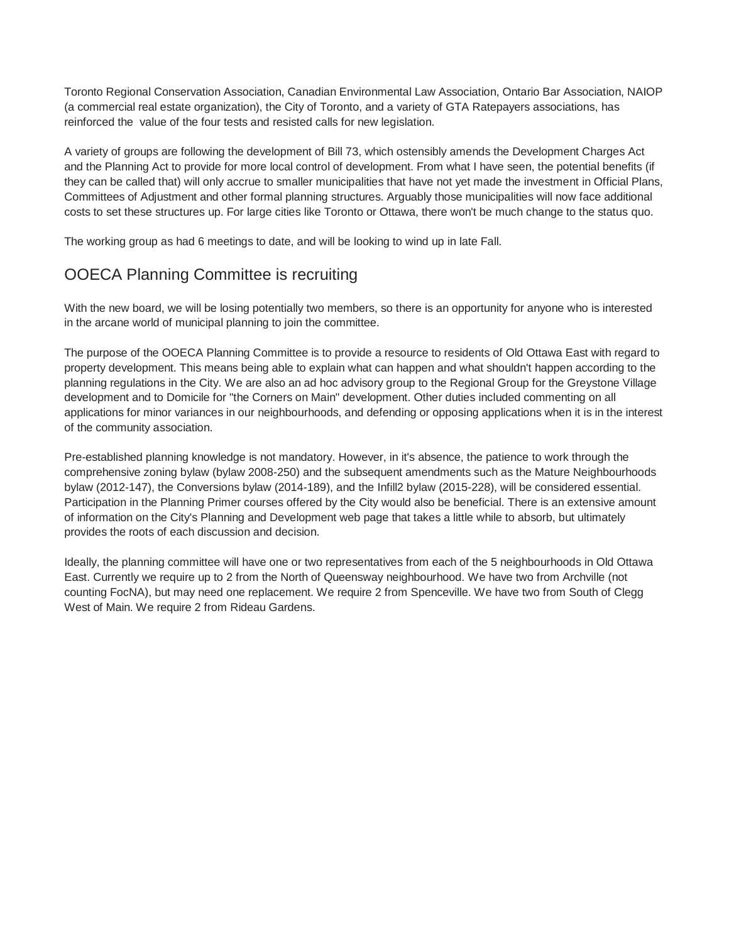Toronto Regional Conservation Association, Canadian Environmental Law Association, Ontario Bar Association, NAIOP (a commercial real estate organization), the City of Toronto, and a variety of GTA Ratepayers associations, has reinforced the value of the four tests and resisted calls for new legislation.

A variety of groups are following the development of Bill 73, which ostensibly amends the Development Charges Act and the Planning Act to provide for more local control of development. From what I have seen, the potential benefits (if they can be called that) will only accrue to smaller municipalities that have not yet made the investment in Official Plans, Committees of Adjustment and other formal planning structures. Arguably those municipalities will now face additional costs to set these structures up. For large cities like Toronto or Ottawa, there won't be much change to the status quo.

The working group as had 6 meetings to date, and will be looking to wind up in late Fall.

# OOECA Planning Committee is recruiting

With the new board, we will be losing potentially two members, so there is an opportunity for anyone who is interested in the arcane world of municipal planning to join the committee.

The purpose of the OOECA Planning Committee is to provide a resource to residents of Old Ottawa East with regard to property development. This means being able to explain what can happen and what shouldn't happen according to the planning regulations in the City. We are also an ad hoc advisory group to the Regional Group for the Greystone Village development and to Domicile for "the Corners on Main" development. Other duties included commenting on all applications for minor variances in our neighbourhoods, and defending or opposing applications when it is in the interest of the community association.

Pre-established planning knowledge is not mandatory. However, in it's absence, the patience to work through the comprehensive zoning bylaw (bylaw 2008-250) and the subsequent amendments such as the Mature Neighbourhoods bylaw (2012-147), the Conversions bylaw (2014-189), and the Infill2 bylaw (2015-228), will be considered essential. Participation in the Planning Primer courses offered by the City would also be beneficial. There is an extensive amount of information on the City's Planning and Development web page that takes a little while to absorb, but ultimately provides the roots of each discussion and decision.

Ideally, the planning committee will have one or two representatives from each of the 5 neighbourhoods in Old Ottawa East. Currently we require up to 2 from the North of Queensway neighbourhood. We have two from Archville (not counting FocNA), but may need one replacement. We require 2 from Spenceville. We have two from South of Clegg West of Main. We require 2 from Rideau Gardens.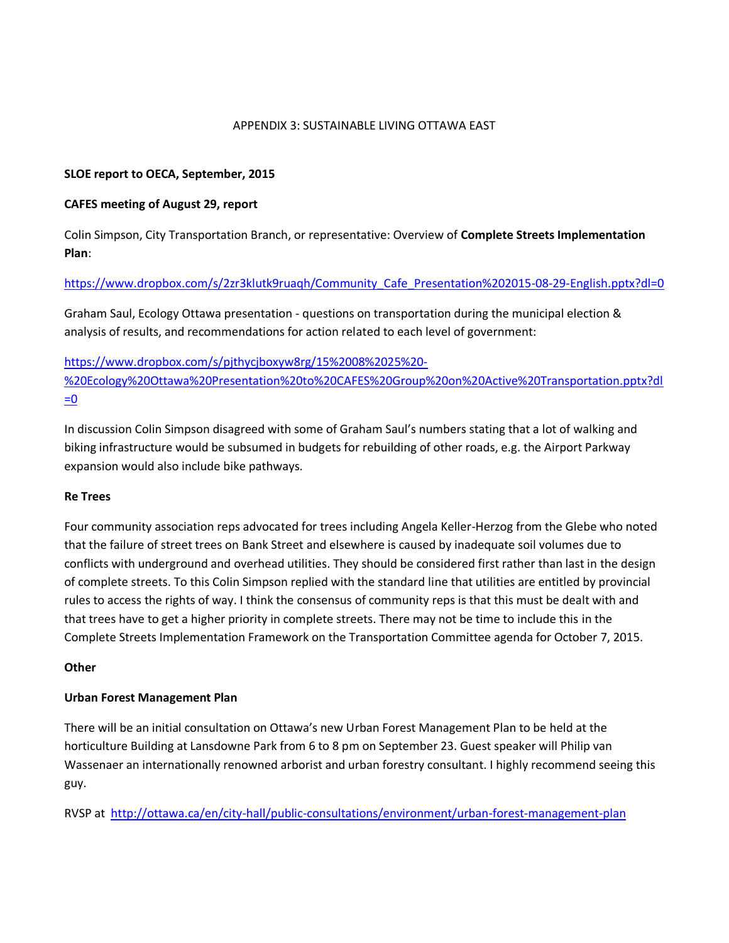### APPENDIX 3: SUSTAINABLE LIVING OTTAWA EAST

### **SLOE report to OECA, September, 2015**

### **CAFES meeting of August 29, report**

Colin Simpson, City Transportation Branch, or representative: Overview of **Complete Streets Implementation Plan**:

### [https://www.dropbox.com/s/2zr3klutk9ruaqh/Community\\_Cafe\\_Presentation%202015-08-29-English.pptx?dl=0](https://www.dropbox.com/s/2zr3klutk9ruaqh/Community_Cafe_Presentation%202015-08-29-English.pptx?dl=0)

Graham Saul, Ecology Ottawa presentation - questions on transportation during the municipal election & analysis of results, and recommendations for action related to each level of government:

[https://www.dropbox.com/s/pjthycjboxyw8rg/15%2008%2025%20-](https://www.dropbox.com/s/pjthycjboxyw8rg/15%2008%2025%20-%20Ecology%20Ottawa%20Presentation%20to%20CAFES%20Group%20on%20Active%20Transportation.pptx?dl=0) [%20Ecology%20Ottawa%20Presentation%20to%20CAFES%20Group%20on%20Active%20Transportation.pptx?dl](https://www.dropbox.com/s/pjthycjboxyw8rg/15%2008%2025%20-%20Ecology%20Ottawa%20Presentation%20to%20CAFES%20Group%20on%20Active%20Transportation.pptx?dl=0)  $=$ <u>0</u>

In discussion Colin Simpson disagreed with some of Graham Saul's numbers stating that a lot of walking and biking infrastructure would be subsumed in budgets for rebuilding of other roads, e.g. the Airport Parkway expansion would also include bike pathways.

### **Re Trees**

Four community association reps advocated for trees including Angela Keller-Herzog from the Glebe who noted that the failure of street trees on Bank Street and elsewhere is caused by inadequate soil volumes due to conflicts with underground and overhead utilities. They should be considered first rather than last in the design of complete streets. To this Colin Simpson replied with the standard line that utilities are entitled by provincial rules to access the rights of way. I think the consensus of community reps is that this must be dealt with and that trees have to get a higher priority in complete streets. There may not be time to include this in the Complete Streets Implementation Framework on the Transportation Committee agenda for October 7, 2015.

### **Other**

### **Urban Forest Management Plan**

There will be an initial consultation on Ottawa's new Urban Forest Management Plan to be held at the horticulture Building at Lansdowne Park from 6 to 8 pm on September 23. Guest speaker will Philip van Wassenaer an internationally renowned arborist and urban forestry consultant. I highly recommend seeing this guy.

RVSP at <http://ottawa.ca/en/city-hall/public-consultations/environment/urban-forest-management-plan>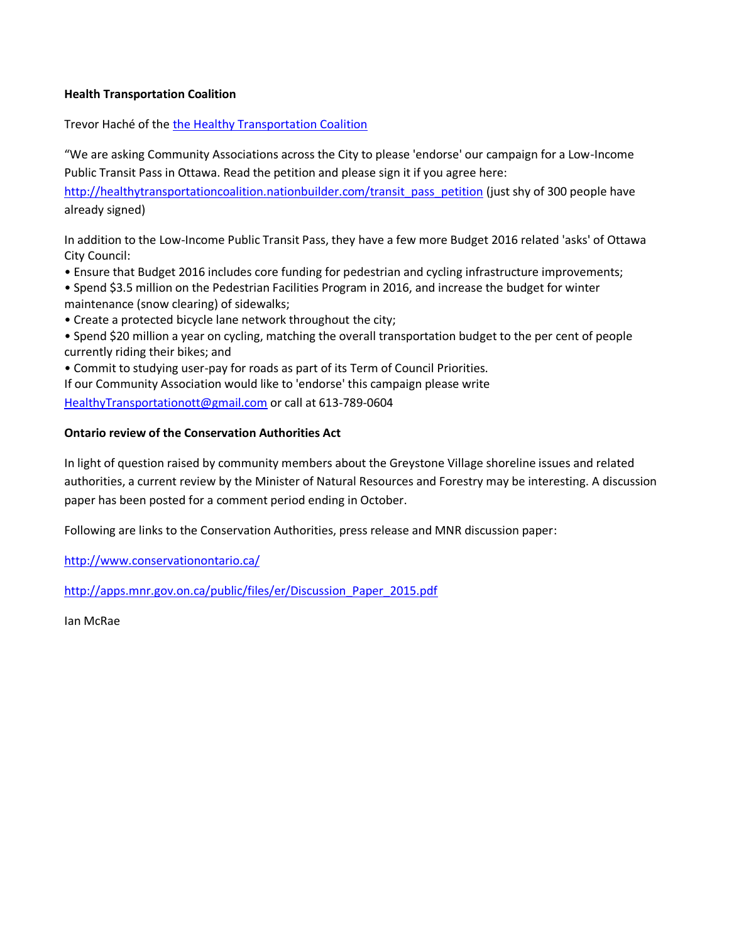## **Health Transportation Coalition**

Trevor Haché of the the [Healthy Transportation Coalition](http://www.healthytransportation.ca/)

"We are asking Community Associations across the City to please 'endorse' our campaign for a Low-Income Public Transit Pass in Ottawa. Read the petition and please sign it if you agree here:

[http://healthytransportationcoalition.nationbuilder.com/transit\\_pass\\_petition](http://healthytransportationcoalition.nationbuilder.com/transit_pass_petition) (just shy of 300 people have already signed)

In addition to the Low-Income Public Transit Pass, they have a few more Budget 2016 related 'asks' of Ottawa City Council:

- Ensure that Budget 2016 includes core funding for pedestrian and cycling infrastructure improvements;
- Spend \$3.5 million on the Pedestrian Facilities Program in 2016, and increase the budget for winter maintenance (snow clearing) of sidewalks;
- Create a protected bicycle lane network throughout the city;
- Spend \$20 million a year on cycling, matching the overall transportation budget to the per cent of people currently riding their bikes; and

• Commit to studying user-pay for roads as part of its Term of Council Priorities.

If our Community Association would like to 'endorse' this campaign please write [HealthyTransportationott@gmail.com](mailto:HealthyTransportationott@gmail.com) or call at 613-789-0604

## **Ontario review of the Conservation Authorities Act**

In light of question raised by community members about the Greystone Village shoreline issues and related authorities, a current review by the Minister of Natural Resources and Forestry may be interesting. A discussion paper has been posted for a comment period ending in October.

Following are links to the Conservation Authorities, press release and MNR discussion paper:

<http://www.conservationontario.ca/>

[http://apps.mnr.gov.on.ca/public/files/er/Discussion\\_Paper\\_2015.pdf](http://apps.mnr.gov.on.ca/public/files/er/Discussion_Paper_2015.pdf)

Ian McRae